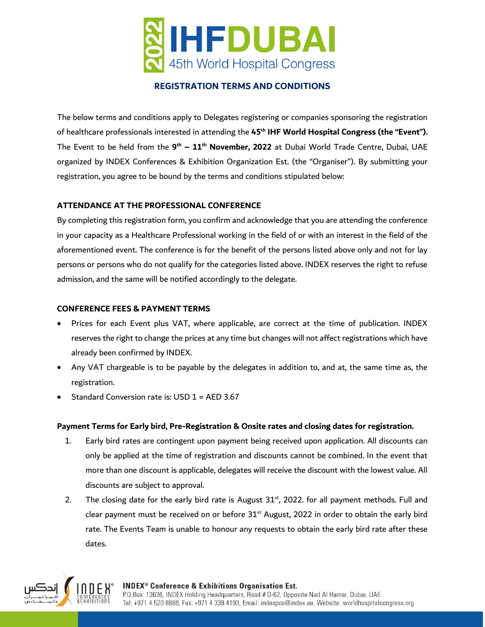

# **REGISTRATION TERMS AND CONDITIONS**

The below terms and conditions apply to Delegates registering or companies sponsoring the registration of healthcare professionals interested in attending the **45th IHF World Hospital Congress (the "Event").** The Event to be held from the **9 th – 11th November, 2022** at Dubai World Trade Centre, Dubai, UAE organized by INDEX Conferences & Exhibition Organization Est. (the "Organiser"). By submitting your registration, you agree to be bound by the terms and conditions stipulated below:

## **ATTENDANCE AT THE PROFESSIONAL CONFERENCE**

By completing this registration form, you confirm and acknowledge that you are attending the conference in your capacity as a Healthcare Professional working in the field of or with an interest in the field of the aforementioned event. The conference is for the benefit of the persons listed above only and not for lay persons or persons who do not qualify for the categories listed above. INDEX reserves the right to refuse admission, and the same will be notified accordingly to the delegate.

## **CONFERENCE FEES & PAYMENT TERMS**

- Prices for each Event plus VAT, where applicable, are correct at the time of publication. INDEX reserves the right to change the prices at any time but changes will not affect registrations which have already been confirmed by INDEX.
- Any VAT chargeable is to be payable by the delegates in addition to, and at, the same time as, the registration.
- Standard Conversion rate is: USD 1 = AED 3.67

## **Payment Terms for Early bird, Pre-Registration & Onsite rates and closing dates for registration.**

- 1. Early bird rates are contingent upon payment being received upon application. All discounts can only be applied at the time of registration and discounts cannot be combined. In the event that more than one discount is applicable, delegates will receive the discount with the lowest value. All discounts are subject to approval.
- 2. The closing date for the early bird rate is August  $31<sup>st</sup>$ , 2022. for all payment methods. Full and clear payment must be received on or before  $31<sup>st</sup>$  August, 2022 in order to obtain the early bird rate. The Events Team is unable to honour any requests to obtain the early bird rate after these dates.

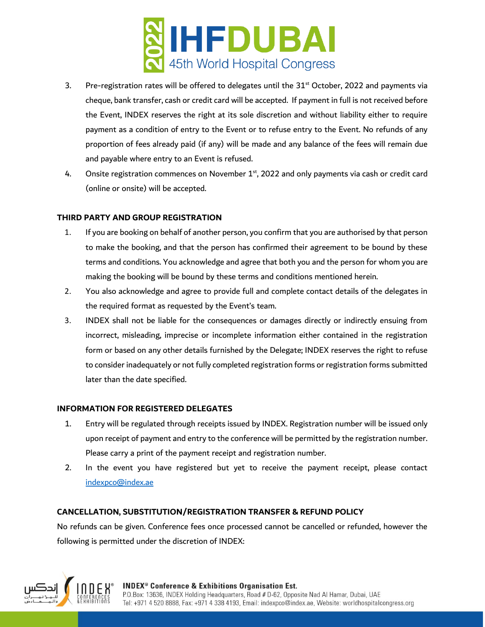

- 3. Pre-registration rates will be offered to delegates until the  $31<sup>st</sup>$  October, 2022 and payments via cheque, bank transfer, cash or credit card will be accepted. If payment in full is not received before the Event, INDEX reserves the right at its sole discretion and without liability either to require payment as a condition of entry to the Event or to refuse entry to the Event. No refunds of any proportion of fees already paid (if any) will be made and any balance of the fees will remain due and payable where entry to an Event is refused.
- 4. Onsite registration commences on November  $1<sup>st</sup>$ , 2022 and only payments via cash or credit card (online or onsite) will be accepted.

# **THIRD PARTY AND GROUP REGISTRATION**

- 1. If you are booking on behalf of another person, you confirm that you are authorised by that person to make the booking, and that the person has confirmed their agreement to be bound by these terms and conditions. You acknowledge and agree that both you and the person for whom you are making the booking will be bound by these terms and conditions mentioned herein.
- 2. You also acknowledge and agree to provide full and complete contact details of the delegates in the required format as requested by the Event's team.
- 3. INDEX shall not be liable for the consequences or damages directly or indirectly ensuing from incorrect, misleading, imprecise or incomplete information either contained in the registration form or based on any other details furnished by the Delegate; INDEX reserves the right to refuse to consider inadequately or not fully completed registration forms or registration forms submitted later than the date specified.

## **INFORMATION FOR REGISTERED DELEGATES**

- 1. Entry will be regulated through receipts issued by INDEX. Registration number will be issued only upon receipt of payment and entry to the conference will be permitted by the registration number. Please carry a print of the payment receipt and registration number.
- 2. In the event you have registered but yet to receive the payment receipt, please contact [indexpco@index.ae](mailto:indexpco@index.ae)

## **CANCELLATION, SUBSTITUTION/REGISTRATION TRANSFER & REFUND POLICY**

No refunds can be given. Conference fees once processed cannot be cancelled or refunded, however the following is permitted under the discretion of INDEX:

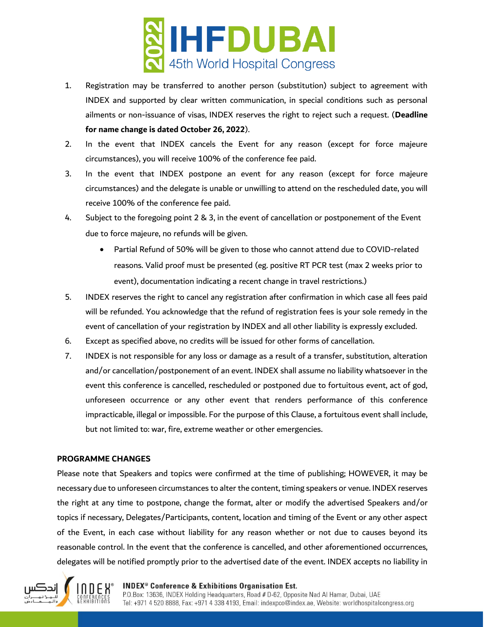

- 1. Registration may be transferred to another person (substitution) subject to agreement with INDEX and supported by clear written communication, in special conditions such as personal ailments or non-issuance of visas, INDEX reserves the right to reject such a request. (**Deadline for name change is dated October 26, 2022**).
- 2. In the event that INDEX cancels the Event for any reason (except for force majeure circumstances), you will receive 100% of the conference fee paid.
- 3. In the event that INDEX postpone an event for any reason (except for force majeure circumstances) and the delegate is unable or unwilling to attend on the rescheduled date, you will receive 100% of the conference fee paid.
- 4. Subject to the foregoing point 2 & 3, in the event of cancellation or postponement of the Event due to force majeure, no refunds will be given.
	- Partial Refund of 50% will be given to those who cannot attend due to COVID-related reasons. Valid proof must be presented (eg. positive RT PCR test (max 2 weeks prior to event), documentation indicating a recent change in travel restrictions.)
- 5. INDEX reserves the right to cancel any registration after confirmation in which case all fees paid will be refunded. You acknowledge that the refund of registration fees is your sole remedy in the event of cancellation of your registration by INDEX and all other liability is expressly excluded.
- 6. Except as specified above, no credits will be issued for other forms of cancellation.
- 7. INDEX is not responsible for any loss or damage as a result of a transfer, substitution, alteration and/or cancellation/postponement of an event. INDEX shall assume no liability whatsoever in the event this conference is cancelled, rescheduled or postponed due to fortuitous event, act of god, unforeseen occurrence or any other event that renders performance of this conference impracticable, illegal or impossible. For the purpose of this Clause, a fortuitous event shall include, but not limited to: war, fire, extreme weather or other emergencies.

## **PROGRAMME CHANGES**

Please note that Speakers and topics were confirmed at the time of publishing; HOWEVER, it may be necessary due to unforeseen circumstances to alter the content, timing speakers or venue. INDEX reserves the right at any time to postpone, change the format, alter or modify the advertised Speakers and/or topics if necessary, Delegates/Participants, content, location and timing of the Event or any other aspect of the Event, in each case without liability for any reason whether or not due to causes beyond its reasonable control. In the event that the conference is cancelled, and other aforementioned occurrences, delegates will be notified promptly prior to the advertised date of the event. INDEX accepts no liability in



#### **INDEX<sup>®</sup> Conference & Exhibitions Organisation Est.**

P.O.Box: 13636, INDEX Holding Headquarters, Road # D-62, Opposite Nad Al Hamar, Dubai, UAE Tel: +971 4 520 8888, Fax: +971 4 338 4193, Email: indexpco@index.ae, Website: worldhospitalcongress.org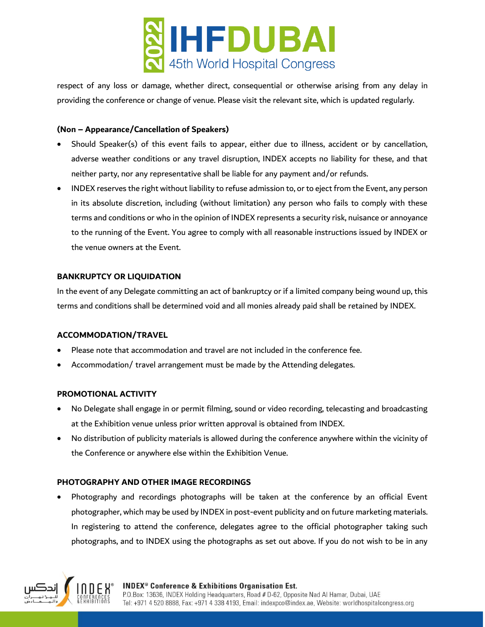

respect of any loss or damage, whether direct, consequential or otherwise arising from any delay in providing the conference or change of venue. Please visit the relevant site, which is updated regularly.

## **(Non – Appearance/Cancellation of Speakers)**

- Should Speaker(s) of this event fails to appear, either due to illness, accident or by cancellation, adverse weather conditions or any travel disruption, INDEX accepts no liability for these, and that neither party, nor any representative shall be liable for any payment and/or refunds.
- INDEX reserves the right without liability to refuse admission to, or to eject from the Event, any person in its absolute discretion, including (without limitation) any person who fails to comply with these terms and conditions or who in the opinion of INDEX represents a security risk, nuisance or annoyance to the running of the Event. You agree to comply with all reasonable instructions issued by INDEX or the venue owners at the Event.

## **BANKRUPTCY OR LIQUIDATION**

In the event of any Delegate committing an act of bankruptcy or if a limited company being wound up, this terms and conditions shall be determined void and all monies already paid shall be retained by INDEX.

## **ACCOMMODATION/TRAVEL**

- Please note that accommodation and travel are not included in the conference fee.
- Accommodation/ travel arrangement must be made by the Attending delegates.

## **PROMOTIONAL ACTIVITY**

- No Delegate shall engage in or permit filming, sound or video recording, telecasting and broadcasting at the Exhibition venue unless prior written approval is obtained from INDEX.
- No distribution of publicity materials is allowed during the conference anywhere within the vicinity of the Conference or anywhere else within the Exhibition Venue.

## **PHOTOGRAPHY AND OTHER IMAGE RECORDINGS**

• Photography and recordings photographs will be taken at the conference by an official Event photographer, which may be used by INDEX in post-event publicity and on future marketing materials. In registering to attend the conference, delegates agree to the official photographer taking such photographs, and to INDEX using the photographs as set out above. If you do not wish to be in any



#### **INDEX<sup>®</sup> Conference & Exhibitions Organisation Est.** P.O.Box: 13636, INDEX Holding Headquarters, Road # D-62, Opposite Nad Al Hamar, Dubai, UAE Tel: +971 4 520 8888, Fax: +971 4 338 4193, Email: indexpco@index.ae, Website: worldhospitalcongress.org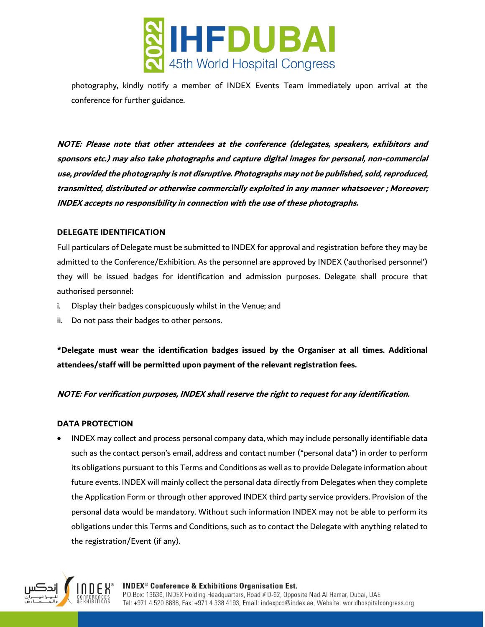

photography, kindly notify a member of INDEX Events Team immediately upon arrival at the conference for further guidance.

**NOTE: Please note that other attendees at the conference (delegates, speakers, exhibitors and sponsors etc.) may also take photographs and capture digital images for personal, non-commercial use, provided the photography is not disruptive. Photographs may not be published, sold, reproduced, transmitted, distributed or otherwise commercially exploited in any manner whatsoever ; Moreover; INDEX accepts no responsibility in connection with the use of these photographs.** 

## **DELEGATE IDENTIFICATION**

Full particulars of Delegate must be submitted to INDEX for approval and registration before they may be admitted to the Conference/Exhibition. As the personnel are approved by INDEX ('authorised personnel') they will be issued badges for identification and admission purposes. Delegate shall procure that authorised personnel:

- i. Display their badges conspicuously whilst in the Venue; and
- ii. Do not pass their badges to other persons.

**\*Delegate must wear the identification badges issued by the Organiser at all times. Additional attendees/staff will be permitted upon payment of the relevant registration fees.** 

# **NOTE: For verification purposes, INDEX shall reserve the right to request for any identification.**

## **DATA PROTECTION**

• INDEX may collect and process personal company data, which may include personally identifiable data such as the contact person's email, address and contact number ("personal data") in order to perform its obligations pursuant to this Terms and Conditions as well as to provide Delegate information about future events. INDEX will mainly collect the personal data directly from Delegates when they complete the Application Form or through other approved INDEX third party service providers. Provision of the personal data would be mandatory. Without such information INDEX may not be able to perform its obligations under this Terms and Conditions, such as to contact the Delegate with anything related to the registration/Event (if any).

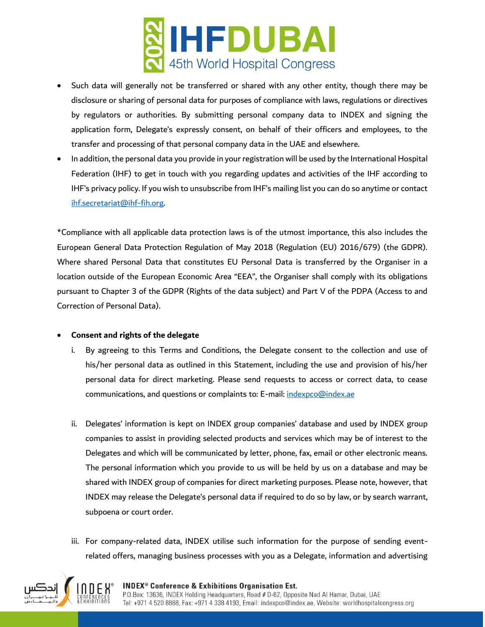

- Such data will generally not be transferred or shared with any other entity, though there may be disclosure or sharing of personal data for purposes of compliance with laws, regulations or directives by regulators or authorities. By submitting personal company data to INDEX and signing the application form, Delegate's expressly consent, on behalf of their officers and employees, to the transfer and processing of that personal company data in the UAE and elsewhere.
- In addition, the personal data you provide in your registration will be used by the International Hospital Federation (IHF) to get in touch with you regarding updates and activities of the IHF according to IHF's privacy policy. If you wish to unsubscribe from IHF's mailing list you can do so anytime or contact [ihf.secretariat@ihf-fih.org.](mailto:ihf.secretariat@ihf-fih.org)

\*Compliance with all applicable data protection laws is of the utmost importance, this also includes the European General Data Protection Regulation of May 2018 (Regulation (EU) 2016/679) (the GDPR). Where shared Personal Data that constitutes EU Personal Data is transferred by the Organiser in a location outside of the European Economic Area "EEA", the Organiser shall comply with its obligations pursuant to Chapter 3 of the GDPR (Rights of the data subject) and Part V of the PDPA (Access to and Correction of Personal Data).

## • **Consent and rights of the delegate**

- i. By agreeing to this Terms and Conditions, the Delegate consent to the collection and use of his/her personal data as outlined in this Statement, including the use and provision of his/her personal data for direct marketing. Please send requests to access or correct data, to cease communications, and questions or complaints to: E-mail: [indexpco@index.ae](mailto:indexpco@index.ae)
- ii. Delegates' information is kept on INDEX group companies' database and used by INDEX group companies to assist in providing selected products and services which may be of interest to the Delegates and which will be communicated by letter, phone, fax, email or other electronic means. The personal information which you provide to us will be held by us on a database and may be shared with INDEX group of companies for direct marketing purposes. Please note, however, that INDEX may release the Delegate's personal data if required to do so by law, or by search warrant, subpoena or court order.
- iii. For company-related data, INDEX utilise such information for the purpose of sending eventrelated offers, managing business processes with you as a Delegate, information and advertising

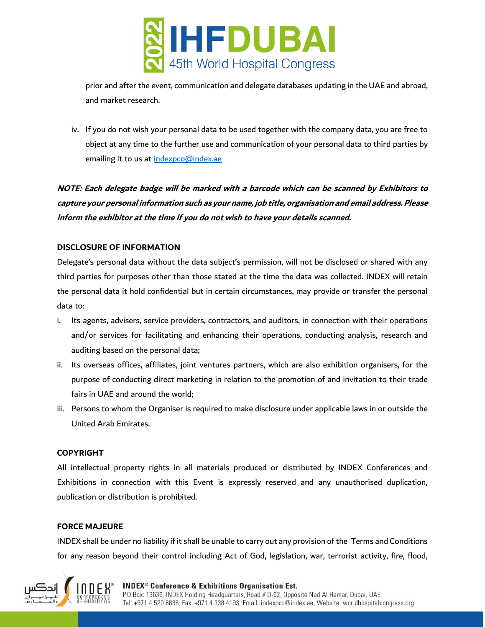

prior and after the event, communication and delegate databases updating in the UAE and abroad, and market research.

iv. If you do not wish your personal data to be used together with the company data, you are free to object at any time to the further use and communication of your personal data to third parties by emailing it to us at [indexpco@index.ae](mailto:indexpco@index.ae)

**NOTE: Each delegate badge will be marked with a barcode which can be scanned by Exhibitors to capture your personal information such as your name, job title, organisation and email address. Please inform the exhibitor at the time if you do not wish to have your details scanned.**

## **DISCLOSURE OF INFORMATION**

Delegate's personal data without the data subject's permission, will not be disclosed or shared with any third parties for purposes other than those stated at the time the data was collected. INDEX will retain the personal data it hold confidential but in certain circumstances, may provide or transfer the personal data to:

- i. Its agents, advisers, service providers, contractors, and auditors, in connection with their operations and/or services for facilitating and enhancing their operations, conducting analysis, research and auditing based on the personal data;
- ii. Its overseas offices, affiliates, joint ventures partners, which are also exhibition organisers, for the purpose of conducting direct marketing in relation to the promotion of and invitation to their trade fairs in UAE and around the world;
- iii. Persons to whom the Organiser is required to make disclosure under applicable laws in or outside the United Arab Emirates.

## **COPYRIGHT**

All intellectual property rights in all materials produced or distributed by INDEX Conferences and Exhibitions in connection with this Event is expressly reserved and any unauthorised duplication, publication or distribution is prohibited.

## **FORCE MAJEURE**

INDEX shall be under no liability if it shall be unable to carry out any provision of the Terms and Conditions for any reason beyond their control including Act of God, legislation, war, terrorist activity, fire, flood,

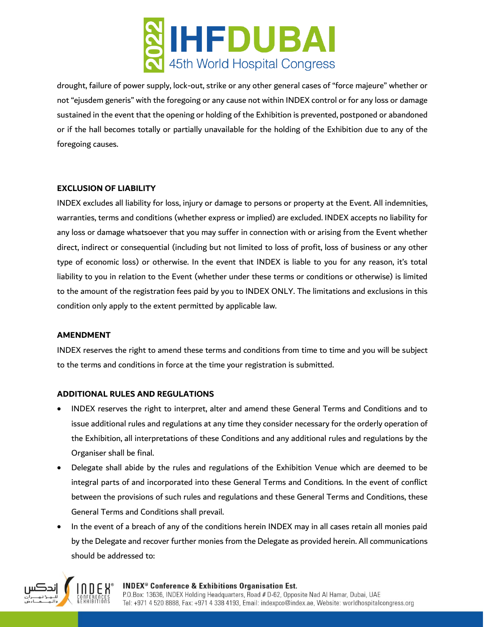

drought, failure of power supply, lock-out, strike or any other general cases of "force majeure" whether or not "ejusdem generis" with the foregoing or any cause not within INDEX control or for any loss or damage sustained in the event that the opening or holding of the Exhibition is prevented, postponed or abandoned or if the hall becomes totally or partially unavailable for the holding of the Exhibition due to any of the foregoing causes.

## **EXCLUSION OF LIABILITY**

INDEX excludes all liability for loss, injury or damage to persons or property at the Event. All indemnities, warranties, terms and conditions (whether express or implied) are excluded. INDEX accepts no liability for any loss or damage whatsoever that you may suffer in connection with or arising from the Event whether direct, indirect or consequential (including but not limited to loss of profit, loss of business or any other type of economic loss) or otherwise. In the event that INDEX is liable to you for any reason, it's total liability to you in relation to the Event (whether under these terms or conditions or otherwise) is limited to the amount of the registration fees paid by you to INDEX ONLY. The limitations and exclusions in this condition only apply to the extent permitted by applicable law.

#### **AMENDMENT**

INDEX reserves the right to amend these terms and conditions from time to time and you will be subject to the terms and conditions in force at the time your registration is submitted.

## **ADDITIONAL RULES AND REGULATIONS**

- INDEX reserves the right to interpret, alter and amend these General Terms and Conditions and to issue additional rules and regulations at any time they consider necessary for the orderly operation of the Exhibition, all interpretations of these Conditions and any additional rules and regulations by the Organiser shall be final.
- Delegate shall abide by the rules and regulations of the Exhibition Venue which are deemed to be integral parts of and incorporated into these General Terms and Conditions. In the event of conflict between the provisions of such rules and regulations and these General Terms and Conditions, these General Terms and Conditions shall prevail.
- In the event of a breach of any of the conditions herein INDEX may in all cases retain all monies paid by the Delegate and recover further monies from the Delegate as provided herein. All communications should be addressed to:



#### **INDEX<sup>®</sup> Conference & Exhibitions Organisation Est.**

P.O.Box: 13636, INDEX Holding Headquarters, Road # D-62, Opposite Nad Al Hamar, Dubai, UAE Tel: +971 4 520 8888, Fax: +971 4 338 4193, Email: indexpco@index.ae, Website: worldhospitalcongress.org